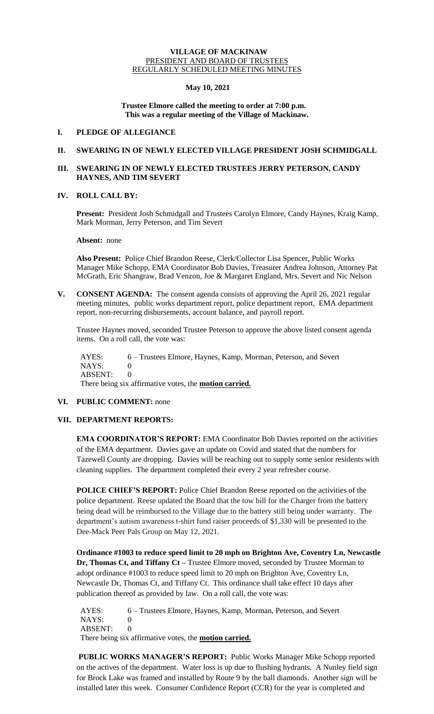#### **VILLAGE OF MACKINAW** PRESIDENT AND BOARD OF TRUSTEES REGULARLY SCHEDULED MEETING MINUTES

### **May 10, 2021**

### **Trustee Elmore called the meeting to order at 7:00 p.m. This was a regular meeting of the Village of Mackinaw.**

### **I. PLEDGE OF ALLEGIANCE**

# **II. SWEARING IN OF NEWLY ELECTED VILLAGE PRESIDENT JOSH SCHMIDGALL**

# **III. SWEARING IN OF NEWLY ELECTED TRUSTEES JERRY PETERSON, CANDY HAYNES, AND TIM SEVERT**

# **IV. ROLL CALL BY:**

**Present:** President Josh Schmidgall and Trustees Carolyn Elmore, Candy Haynes, Kraig Kamp, Mark Morman, Jerry Peterson, and Tim Severt

**Absent:** none

**Also Present:** Police Chief Brandon Reese, Clerk/Collector Lisa Spencer, Public Works Manager Mike Schopp, EMA Coordinator Bob Davies, Treasurer Andrea Johnson, Attorney Pat McGrath, Eric Shangraw, Brad Venzon, Joe & Margaret England, Mrs. Severt and Nic Nelson

**V. CONSENT AGENDA:** The consent agenda consists of approving the April 26, 2021 regular meeting minutes, public works department report, police department report, EMA department report, non-recurring disbursements, account balance, and payroll report.

Trustee Haynes moved, seconded Trustee Peterson to approve the above listed consent agenda items. On a roll call, the vote was:

 AYES: 6 – Trustees Elmore, Haynes, Kamp, Morman, Peterson, and Severt NAYS: 0 ABSENT: 0 There being six affirmative votes, the **motion carried.**

#### **VI. PUBLIC COMMENT:** none

# **VII. DEPARTMENT REPORTS:**

**EMA COORDINATOR'S REPORT:** EMA Coordinator Bob Davies reported on the activities of the EMA department. Davies gave an update on Covid and stated that the numbers for Tazewell County are dropping. Davies will be reaching out to supply some senior residents with cleaning supplies. The department completed their every 2 year refresher course.

**POLICE CHIEF'S REPORT:** Police Chief Brandon Reese reported on the activities of the police department. Reese updated the Board that the tow bill for the Charger from the battery being dead will be reimbursed to the Village due to the battery still being under warranty. The department's autism awareness t-shirt fund raiser proceeds of \$1,330 will be presented to the Dee-Mack Peer Pals Group on May 12, 2021.

**Ordinance #1003 to reduce speed limit to 20 mph on Brighton Ave, Coventry Ln, Newcastle Dr, Thomas Ct, and Tiffany Ct –** Trustee Elmore moved, seconded by Trustee Morman to adopt ordinance #1003 to reduce speed limit to 20 mph on Brighton Ave, Coventry Ln, Newcastle Dr, Thomas Ct, and Tiffany Ct. This ordinance shall take effect 10 days after publication thereof as provided by law. On a roll call, the vote was:

 AYES: 6 – Trustees Elmore, Haynes, Kamp, Morman, Peterson, and Severt NAYS: 0 ABSENT: 0 There being six affirmative votes, the **motion carried.**

**PUBLIC WORKS MANAGER'S REPORT:** Public Works Manager Mike Schopp reported on the actives of the department. Water loss is up due to flushing hydrants. A Nunley field sign for Brock Lake was framed and installed by Route 9 by the ball diamonds. Another sign will be installed later this week. Consumer Confidence Report (CCR) for the year is completed and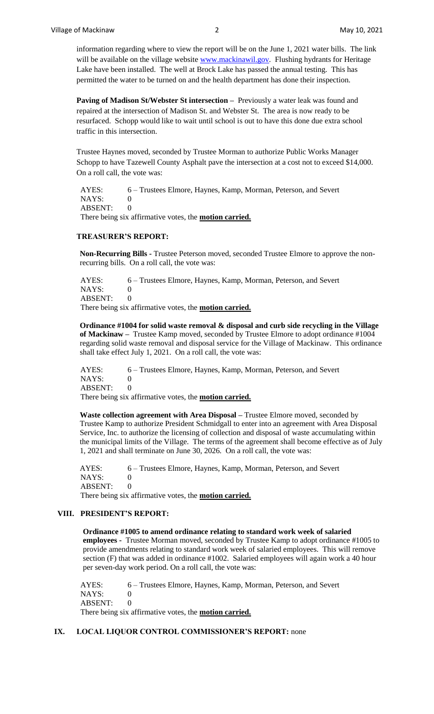information regarding where to view the report will be on the June 1, 2021 water bills. The link will be available on the village website [www.mackinawil.gov.](http://www.mackinawil.gov/) Flushing hydrants for Heritage Lake have been installed. The well at Brock Lake has passed the annual testing. This has permitted the water to be turned on and the health department has done their inspection.

Paving of Madison St/Webster St intersection - Previously a water leak was found and repaired at the intersection of Madison St. and Webster St. The area is now ready to be resurfaced. Schopp would like to wait until school is out to have this done due extra school traffic in this intersection.

Trustee Haynes moved, seconded by Trustee Morman to authorize Public Works Manager Schopp to have Tazewell County Asphalt pave the intersection at a cost not to exceed \$14,000. On a roll call, the vote was:

 AYES: 6 – Trustees Elmore, Haynes, Kamp, Morman, Peterson, and Severt NAYS: 0 ABSENT: 0 There being six affirmative votes, the **motion carried.**

# **TREASURER'S REPORT:**

**Non-Recurring Bills -** Trustee Peterson moved, seconded Trustee Elmore to approve the nonrecurring bills. On a roll call, the vote was:

 AYES: 6 – Trustees Elmore, Haynes, Kamp, Morman, Peterson, and Severt NAYS: 0 ABSENT: 0 There being six affirmative votes, the **motion carried.**

**Ordinance #1004 for solid waste removal & disposal and curb side recycling in the Village of Mackinaw –** Trustee Kamp moved, seconded by Trustee Elmore to adopt ordinance #1004 regarding solid waste removal and disposal service for the Village of Mackinaw. This ordinance shall take effect July 1, 2021. On a roll call, the vote was:

 AYES: 6 – Trustees Elmore, Haynes, Kamp, Morman, Peterson, and Severt NAYS: 0 ABSENT: 0

There being six affirmative votes, the **motion carried.**

**Waste collection agreement with Area Disposal –** Trustee Elmore moved, seconded by Trustee Kamp to authorize President Schmidgall to enter into an agreement with Area Disposal Service, Inc. to authorize the licensing of collection and disposal of waste accumulating within the municipal limits of the Village. The terms of the agreement shall become effective as of July 1, 2021 and shall terminate on June 30, 2026. On a roll call, the vote was:

AYES: 6 – Trustees Elmore, Haynes, Kamp, Morman, Peterson, and Severt NAYS: 0 ABSENT: 0 There being six affirmative votes, the **motion carried.**

# **VIII. PRESIDENT'S REPORT:**

**Ordinance #1005 to amend ordinance relating to standard work week of salaried employees -** Trustee Morman moved, seconded by Trustee Kamp to adopt ordinance #1005 to provide amendments relating to standard work week of salaried employees. This will remove section (F) that was added in ordinance #1002. Salaried employees will again work a 40 hour per seven-day work period. On a roll call, the vote was:

 AYES: 6 – Trustees Elmore, Haynes, Kamp, Morman, Peterson, and Severt NAYS: 0 ABSENT: 0 There being six affirmative votes, the **motion carried.**

# **IX. LOCAL LIQUOR CONTROL COMMISSIONER'S REPORT:** none